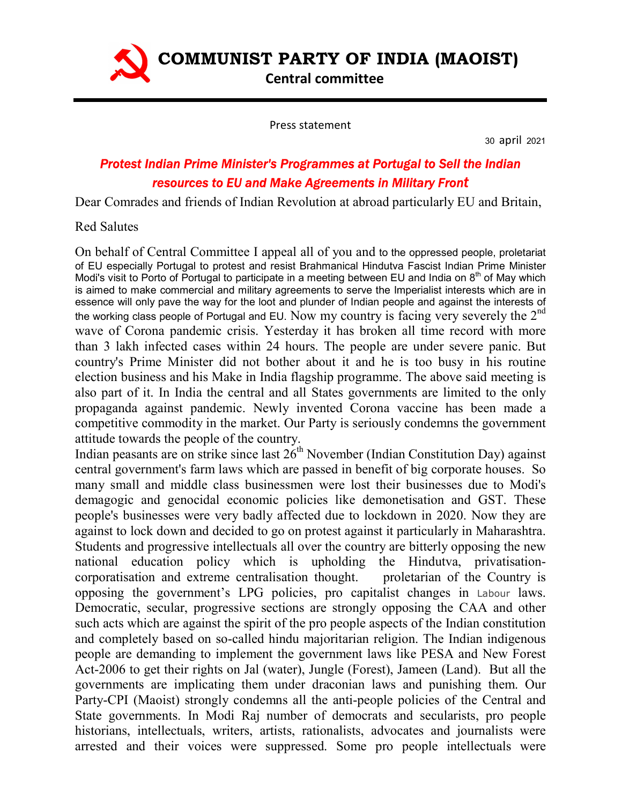

Press statement

30 april 2021

## Protest Indian Prime Minister's Programmes at Portugal to Sell the Indian resources to EU and Make Agreements in Military Front

Dear Comrades and friends of Indian Revolution at abroad particularly EU and Britain,

## Red Salutes

On behalf of Central Committee I appeal all of you and to the oppressed people, proletariat of EU especially Portugal to protest and resist Brahmanical Hindutva Fascist Indian Prime Minister Modi's visit to Porto of Portugal to participate in a meeting between EU and India on  $8<sup>th</sup>$  of May which is aimed to make commercial and military agreements to serve the Imperialist interests which are in essence will only pave the way for the loot and plunder of Indian people and against the interests of the working class people of Portugal and EU. Now my country is facing very severely the  $2<sup>nd</sup>$ wave of Corona pandemic crisis. Yesterday it has broken all time record with more than 3 lakh infected cases within 24 hours. The people are under severe panic. But country's Prime Minister did not bother about it and he is too busy in his routine election business and his Make in India flagship programme. The above said meeting is also part of it. In India the central and all States governments are limited to the only propaganda against pandemic. Newly invented Corona vaccine has been made a competitive commodity in the market. Our Party is seriously condemns the government attitude towards the people of the country.

Indian peasants are on strike since last  $26<sup>th</sup>$  November (Indian Constitution Day) against central government's farm laws which are passed in benefit of big corporate houses. So many small and middle class businessmen were lost their businesses due to Modi's demagogic and genocidal economic policies like demonetisation and GST. These people's businesses were very badly affected due to lockdown in 2020. Now they are against to lock down and decided to go on protest against it particularly in Maharashtra. Students and progressive intellectuals all over the country are bitterly opposing the new national education policy which is upholding the Hindutva, privatisationcorporatisation and extreme centralisation thought. proletarian of the Country is opposing the government's LPG policies, pro capitalist changes in Labour laws. Democratic, secular, progressive sections are strongly opposing the CAA and other such acts which are against the spirit of the pro people aspects of the Indian constitution and completely based on so-called hindu majoritarian religion. The Indian indigenous people are demanding to implement the government laws like PESA and New Forest Act-2006 to get their rights on Jal (water), Jungle (Forest), Jameen (Land). But all the governments are implicating them under draconian laws and punishing them. Our Party-CPI (Maoist) strongly condemns all the anti-people policies of the Central and State governments. In Modi Raj number of democrats and secularists, pro people historians, intellectuals, writers, artists, rationalists, advocates and journalists were arrested and their voices were suppressed. Some pro people intellectuals were